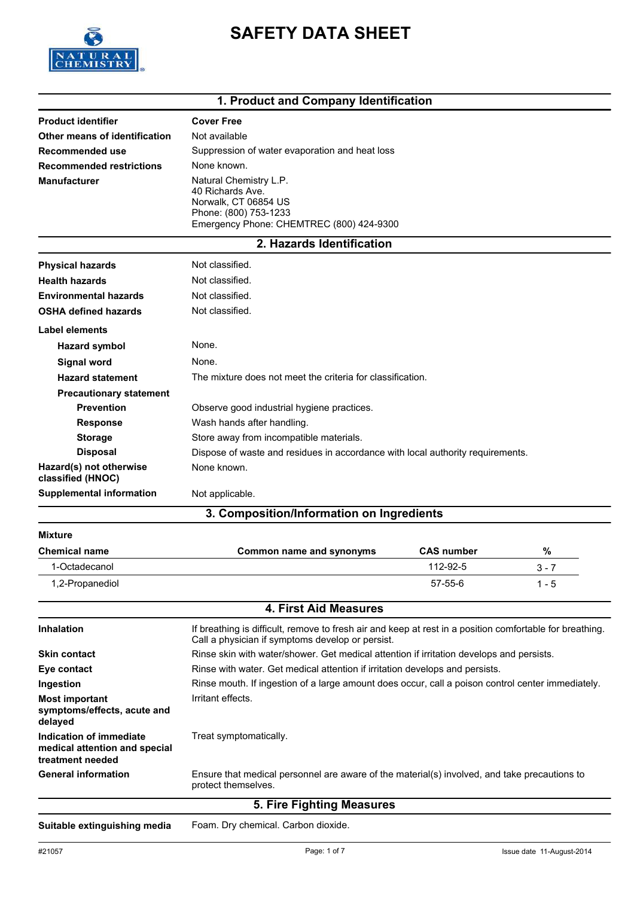

# **SAFETY DATA SHEET**

### **1. Product and Company Identification**

| <b>Product identifier</b>       | <b>Cover Free</b>                                                                                                                       |
|---------------------------------|-----------------------------------------------------------------------------------------------------------------------------------------|
| Other means of identification   | Not available                                                                                                                           |
| Recommended use                 | Suppression of water evaporation and heat loss                                                                                          |
| <b>Recommended restrictions</b> | None known.                                                                                                                             |
| <b>Manufacturer</b>             | Natural Chemistry L.P.<br>40 Richards Ave.<br>Norwalk, CT 06854 US<br>Phone: (800) 753-1233<br>Emergency Phone: CHEMTREC (800) 424-9300 |

### **2. Hazards Identification**

| <b>Physical hazards</b>                      | Not classified.                                                                |  |  |
|----------------------------------------------|--------------------------------------------------------------------------------|--|--|
| <b>Health hazards</b>                        | Not classified.                                                                |  |  |
| <b>Environmental hazards</b>                 | Not classified.                                                                |  |  |
| <b>OSHA defined hazards</b>                  | Not classified.                                                                |  |  |
| Label elements                               |                                                                                |  |  |
| <b>Hazard symbol</b>                         | None.                                                                          |  |  |
| <b>Signal word</b>                           | None.                                                                          |  |  |
| <b>Hazard statement</b>                      | The mixture does not meet the criteria for classification.                     |  |  |
| <b>Precautionary statement</b>               |                                                                                |  |  |
| <b>Prevention</b>                            | Observe good industrial hygiene practices.                                     |  |  |
| <b>Response</b>                              | Wash hands after handling.                                                     |  |  |
| <b>Storage</b>                               | Store away from incompatible materials.                                        |  |  |
| <b>Disposal</b>                              | Dispose of waste and residues in accordance with local authority requirements. |  |  |
| Hazard(s) not otherwise<br>classified (HNOC) | None known.                                                                    |  |  |
| <b>Supplemental information</b>              | Not applicable.                                                                |  |  |

## **3. Composition/Information on Ingredients**

| Mixture              |                          |                   |         |
|----------------------|--------------------------|-------------------|---------|
| <b>Chemical name</b> | Common name and synonyms | <b>CAS number</b> | %       |
| 1-Octadecanol        |                          | 112-92-5          | 3 - 7   |
| 1,2-Propanediol      |                          | 57-55-6           | $1 - 5$ |

| <b>4. First Aid Measures</b>                                                 |                                                                                                                                                              |  |
|------------------------------------------------------------------------------|--------------------------------------------------------------------------------------------------------------------------------------------------------------|--|
| <b>Inhalation</b>                                                            | If breathing is difficult, remove to fresh air and keep at rest in a position comfortable for breathing.<br>Call a physician if symptoms develop or persist. |  |
| <b>Skin contact</b>                                                          | Rinse skin with water/shower. Get medical attention if irritation develops and persists.                                                                     |  |
| Eye contact                                                                  | Rinse with water. Get medical attention if irritation develops and persists.                                                                                 |  |
| Ingestion                                                                    | Rinse mouth. If ingestion of a large amount does occur, call a poison control center immediately.                                                            |  |
| <b>Most important</b><br>symptoms/effects, acute and<br>delayed              | Irritant effects.                                                                                                                                            |  |
| Indication of immediate<br>medical attention and special<br>treatment needed | Treat symptomatically.                                                                                                                                       |  |
| <b>General information</b>                                                   | Ensure that medical personnel are aware of the material(s) involved, and take precautions to<br>protect themselves.                                          |  |
|                                                                              | 5. Fire Fighting Measures                                                                                                                                    |  |
|                                                                              |                                                                                                                                                              |  |

**Suitable extinguishing media** Foam. Dry chemical. Carbon dioxide.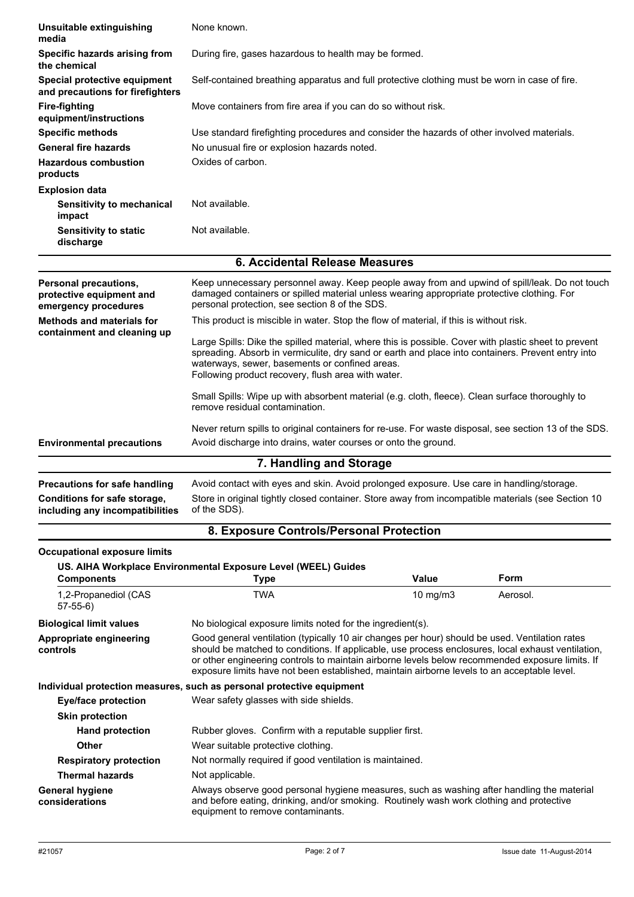| Unsuitable extinguishing<br>media                                         | None known.                                                                                                                                                                                                                                                                                                                                                                                            |              |          |
|---------------------------------------------------------------------------|--------------------------------------------------------------------------------------------------------------------------------------------------------------------------------------------------------------------------------------------------------------------------------------------------------------------------------------------------------------------------------------------------------|--------------|----------|
| Specific hazards arising from<br>the chemical                             | During fire, gases hazardous to health may be formed.                                                                                                                                                                                                                                                                                                                                                  |              |          |
| Special protective equipment<br>and precautions for firefighters          | Self-contained breathing apparatus and full protective clothing must be worn in case of fire.                                                                                                                                                                                                                                                                                                          |              |          |
| <b>Fire-fighting</b><br>equipment/instructions                            | Move containers from fire area if you can do so without risk.                                                                                                                                                                                                                                                                                                                                          |              |          |
| <b>Specific methods</b>                                                   | Use standard firefighting procedures and consider the hazards of other involved materials.                                                                                                                                                                                                                                                                                                             |              |          |
| <b>General fire hazards</b>                                               | No unusual fire or explosion hazards noted.                                                                                                                                                                                                                                                                                                                                                            |              |          |
| <b>Hazardous combustion</b><br>products                                   | Oxides of carbon.                                                                                                                                                                                                                                                                                                                                                                                      |              |          |
| <b>Explosion data</b>                                                     |                                                                                                                                                                                                                                                                                                                                                                                                        |              |          |
| Sensitivity to mechanical<br>impact                                       | Not available.                                                                                                                                                                                                                                                                                                                                                                                         |              |          |
| <b>Sensitivity to static</b><br>discharge                                 | Not available.                                                                                                                                                                                                                                                                                                                                                                                         |              |          |
|                                                                           | <b>6. Accidental Release Measures</b>                                                                                                                                                                                                                                                                                                                                                                  |              |          |
| Personal precautions,<br>protective equipment and<br>emergency procedures | Keep unnecessary personnel away. Keep people away from and upwind of spill/leak. Do not touch<br>damaged containers or spilled material unless wearing appropriate protective clothing. For<br>personal protection, see section 8 of the SDS.                                                                                                                                                          |              |          |
| <b>Methods and materials for</b>                                          | This product is miscible in water. Stop the flow of material, if this is without risk.                                                                                                                                                                                                                                                                                                                 |              |          |
| containment and cleaning up                                               | Large Spills: Dike the spilled material, where this is possible. Cover with plastic sheet to prevent<br>spreading. Absorb in vermiculite, dry sand or earth and place into containers. Prevent entry into<br>waterways, sewer, basements or confined areas.<br>Following product recovery, flush area with water.                                                                                      |              |          |
|                                                                           | Small Spills: Wipe up with absorbent material (e.g. cloth, fleece). Clean surface thoroughly to<br>remove residual contamination.                                                                                                                                                                                                                                                                      |              |          |
| <b>Environmental precautions</b>                                          | Never return spills to original containers for re-use. For waste disposal, see section 13 of the SDS.<br>Avoid discharge into drains, water courses or onto the ground.                                                                                                                                                                                                                                |              |          |
|                                                                           | 7. Handling and Storage                                                                                                                                                                                                                                                                                                                                                                                |              |          |
| <b>Precautions for safe handling</b>                                      | Avoid contact with eyes and skin. Avoid prolonged exposure. Use care in handling/storage.                                                                                                                                                                                                                                                                                                              |              |          |
| Conditions for safe storage,<br>including any incompatibilities           | Store in original tightly closed container. Store away from incompatible materials (see Section 10<br>of the SDS).                                                                                                                                                                                                                                                                                     |              |          |
|                                                                           | 8. Exposure Controls/Personal Protection                                                                                                                                                                                                                                                                                                                                                               |              |          |
| <b>Occupational exposure limits</b>                                       |                                                                                                                                                                                                                                                                                                                                                                                                        |              |          |
|                                                                           | US. AIHA Workplace Environmental Exposure Level (WEEL) Guides                                                                                                                                                                                                                                                                                                                                          |              |          |
| <b>Components</b>                                                         | <b>Type</b>                                                                                                                                                                                                                                                                                                                                                                                            | <b>Value</b> | Form     |
| 1,2-Propanediol (CAS<br>$57-55-6$                                         | <b>TWA</b>                                                                                                                                                                                                                                                                                                                                                                                             | 10 $mg/m3$   | Aerosol. |
| <b>Biological limit values</b>                                            | No biological exposure limits noted for the ingredient(s).                                                                                                                                                                                                                                                                                                                                             |              |          |
| Appropriate engineering<br>controls                                       | Good general ventilation (typically 10 air changes per hour) should be used. Ventilation rates<br>should be matched to conditions. If applicable, use process enclosures, local exhaust ventilation,<br>or other engineering controls to maintain airborne levels below recommended exposure limits. If<br>exposure limits have not been established, maintain airborne levels to an acceptable level. |              |          |
|                                                                           | Individual protection measures, such as personal protective equipment                                                                                                                                                                                                                                                                                                                                  |              |          |
| <b>Eye/face protection</b>                                                | Wear safety glasses with side shields.                                                                                                                                                                                                                                                                                                                                                                 |              |          |
| <b>Skin protection</b>                                                    |                                                                                                                                                                                                                                                                                                                                                                                                        |              |          |
| <b>Hand protection</b>                                                    | Rubber gloves. Confirm with a reputable supplier first.                                                                                                                                                                                                                                                                                                                                                |              |          |
| <b>Other</b>                                                              | Wear suitable protective clothing.                                                                                                                                                                                                                                                                                                                                                                     |              |          |
| <b>Respiratory protection</b>                                             | Not normally required if good ventilation is maintained.                                                                                                                                                                                                                                                                                                                                               |              |          |
| <b>Thermal hazards</b>                                                    | Not applicable.                                                                                                                                                                                                                                                                                                                                                                                        |              |          |
| <b>General hygiene</b><br>considerations                                  | Always observe good personal hygiene measures, such as washing after handling the material<br>and before eating, drinking, and/or smoking. Routinely wash work clothing and protective<br>equipment to remove contaminants.                                                                                                                                                                            |              |          |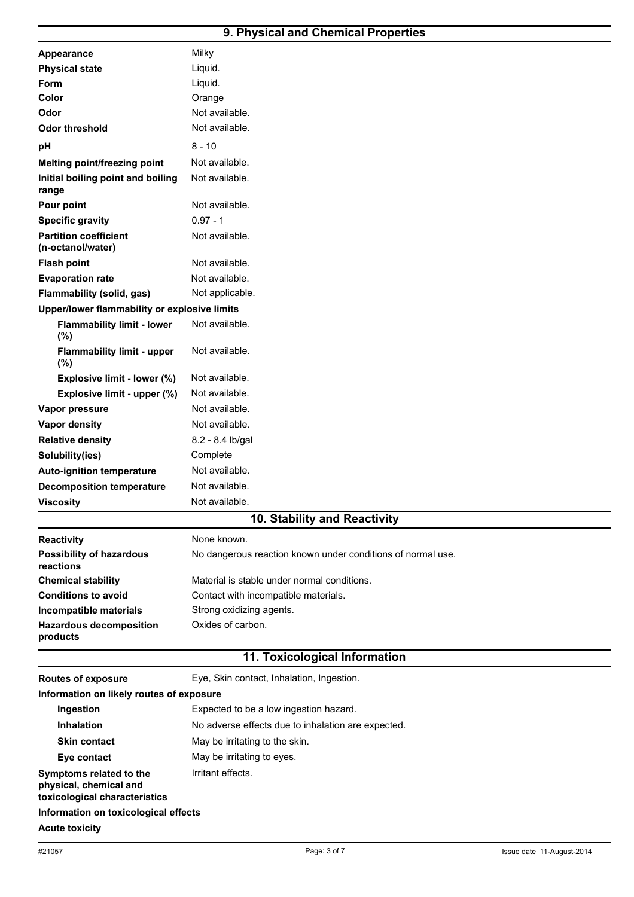# **9. Physical and Chemical Properties**

| <b>Routes of exposure</b>                         | Eye, Skin contact, Inhalation, Ingestion.                   |  |  |
|---------------------------------------------------|-------------------------------------------------------------|--|--|
|                                                   | 11. Toxicological Information                               |  |  |
|                                                   |                                                             |  |  |
| <b>Hazardous decomposition</b><br>products        | Oxides of carbon.                                           |  |  |
| Incompatible materials                            | Strong oxidizing agents.                                    |  |  |
| <b>Conditions to avoid</b>                        | Contact with incompatible materials.                        |  |  |
| <b>Chemical stability</b>                         | Material is stable under normal conditions.                 |  |  |
| <b>Possibility of hazardous</b><br>reactions      | No dangerous reaction known under conditions of normal use. |  |  |
| <b>Reactivity</b>                                 | None known.                                                 |  |  |
|                                                   | 10. Stability and Reactivity                                |  |  |
| <b>Viscosity</b>                                  | Not available.                                              |  |  |
| <b>Decomposition temperature</b>                  | Not available.                                              |  |  |
| <b>Auto-ignition temperature</b>                  | Not available.                                              |  |  |
| Solubility(ies)                                   | Complete                                                    |  |  |
| <b>Relative density</b>                           | 8.2 - 8.4 lb/gal                                            |  |  |
| <b>Vapor density</b>                              | Not available.                                              |  |  |
| Vapor pressure                                    | Not available.                                              |  |  |
| Explosive limit - upper (%)                       | Not available.                                              |  |  |
| Explosive limit - lower (%)                       | Not available.                                              |  |  |
| <b>Flammability limit - upper</b><br>(%)          | Not available.                                              |  |  |
| <b>Flammability limit - lower</b><br>(%)          | Not available.                                              |  |  |
| Upper/lower flammability or explosive limits      |                                                             |  |  |
| <b>Flammability (solid, gas)</b>                  | Not applicable.                                             |  |  |
| <b>Evaporation rate</b>                           | Not available.                                              |  |  |
| <b>Flash point</b>                                | Not available.                                              |  |  |
| <b>Partition coefficient</b><br>(n-octanol/water) | Not available.                                              |  |  |
| <b>Specific gravity</b>                           | $0.97 - 1$                                                  |  |  |
| Pour point                                        | Not available.                                              |  |  |
| range                                             |                                                             |  |  |
| Initial boiling point and boiling                 | Not available.                                              |  |  |
| Melting point/freezing point                      | Not available.                                              |  |  |
| pН                                                | $8 - 10$                                                    |  |  |
| <b>Odor threshold</b>                             | Not available.                                              |  |  |
| Odor                                              | Not available.                                              |  |  |
| Color                                             | Orange                                                      |  |  |
| Form                                              | Liquid.                                                     |  |  |
| <b>Physical state</b>                             | Liquid.                                                     |  |  |
| Appearance                                        | Milky                                                       |  |  |

| Information on likely routes of exposure                                           |                                                    |
|------------------------------------------------------------------------------------|----------------------------------------------------|
| Ingestion                                                                          | Expected to be a low ingestion hazard.             |
| <b>Inhalation</b>                                                                  | No adverse effects due to inhalation are expected. |
| <b>Skin contact</b>                                                                | May be irritating to the skin.                     |
| Eye contact                                                                        | May be irritating to eyes.                         |
| Symptoms related to the<br>physical, chemical and<br>toxicological characteristics | Irritant effects.                                  |
| Information on toxicological effects                                               |                                                    |
| Acute toxicity                                                                     |                                                    |
|                                                                                    |                                                    |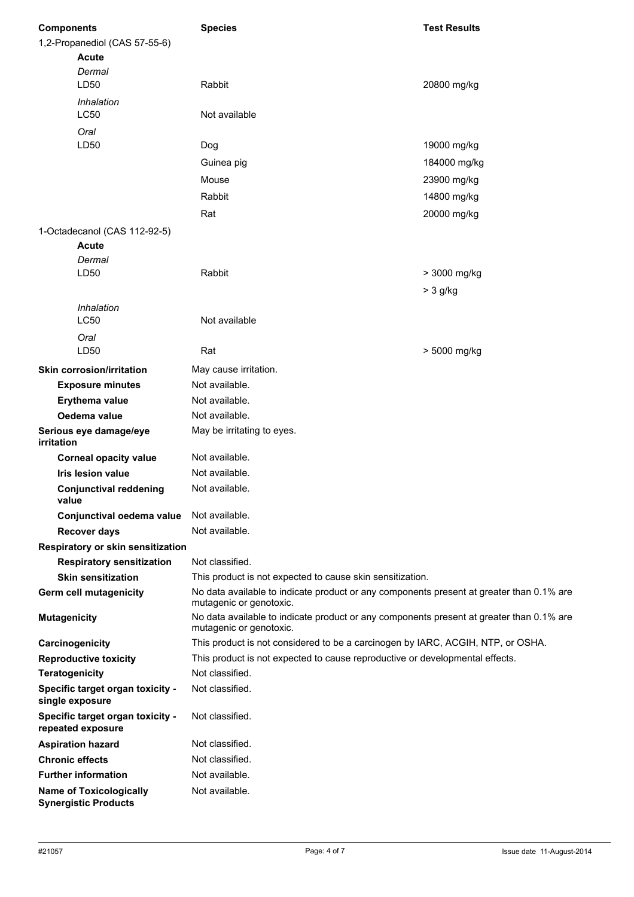| <b>Components</b>                                             | <b>Species</b>                                                                                                                                        | <b>Test Results</b> |
|---------------------------------------------------------------|-------------------------------------------------------------------------------------------------------------------------------------------------------|---------------------|
| 1,2-Propanediol (CAS 57-55-6)<br><b>Acute</b>                 |                                                                                                                                                       |                     |
| Dermal<br>LD50                                                | Rabbit                                                                                                                                                | 20800 mg/kg         |
| Inhalation<br><b>LC50</b>                                     | Not available                                                                                                                                         |                     |
| Oral                                                          |                                                                                                                                                       |                     |
| LD50                                                          | Dog                                                                                                                                                   | 19000 mg/kg         |
|                                                               | Guinea pig                                                                                                                                            | 184000 mg/kg        |
|                                                               | Mouse                                                                                                                                                 | 23900 mg/kg         |
|                                                               | Rabbit                                                                                                                                                | 14800 mg/kg         |
|                                                               | Rat                                                                                                                                                   | 20000 mg/kg         |
| 1-Octadecanol (CAS 112-92-5)                                  |                                                                                                                                                       |                     |
| <b>Acute</b>                                                  |                                                                                                                                                       |                     |
| Dermal                                                        |                                                                                                                                                       |                     |
| LD50                                                          | Rabbit                                                                                                                                                | > 3000 mg/kg        |
|                                                               |                                                                                                                                                       | $>$ 3 g/kg          |
| Inhalation                                                    |                                                                                                                                                       |                     |
| <b>LC50</b>                                                   | Not available                                                                                                                                         |                     |
| Oral<br>LD50                                                  | Rat                                                                                                                                                   | > 5000 mg/kg        |
| <b>Skin corrosion/irritation</b>                              | May cause irritation.                                                                                                                                 |                     |
| <b>Exposure minutes</b>                                       | Not available.                                                                                                                                        |                     |
| Erythema value                                                | Not available.                                                                                                                                        |                     |
| Oedema value                                                  | Not available.                                                                                                                                        |                     |
| Serious eye damage/eye<br><i>irritation</i>                   | May be irritating to eyes.                                                                                                                            |                     |
| <b>Corneal opacity value</b>                                  | Not available.                                                                                                                                        |                     |
| <b>Iris lesion value</b>                                      | Not available.                                                                                                                                        |                     |
| <b>Conjunctival reddening</b><br>value                        | Not available.                                                                                                                                        |                     |
| Conjunctival oedema value                                     | Not available.                                                                                                                                        |                     |
| <b>Recover days</b>                                           | Not available.                                                                                                                                        |                     |
| Respiratory or skin sensitization                             |                                                                                                                                                       |                     |
| <b>Respiratory sensitization</b><br><b>Skin sensitization</b> | Not classified.                                                                                                                                       |                     |
| <b>Germ cell mutagenicity</b>                                 | This product is not expected to cause skin sensitization.<br>No data available to indicate product or any components present at greater than 0.1% are |                     |
|                                                               | mutagenic or genotoxic.                                                                                                                               |                     |
| <b>Mutagenicity</b>                                           | No data available to indicate product or any components present at greater than 0.1% are<br>mutagenic or genotoxic.                                   |                     |
| Carcinogenicity                                               | This product is not considered to be a carcinogen by IARC, ACGIH, NTP, or OSHA.                                                                       |                     |
| <b>Reproductive toxicity</b>                                  | This product is not expected to cause reproductive or developmental effects.                                                                          |                     |
| <b>Teratogenicity</b>                                         | Not classified.                                                                                                                                       |                     |
| Specific target organ toxicity -<br>single exposure           | Not classified.                                                                                                                                       |                     |
| Specific target organ toxicity -<br>repeated exposure         | Not classified.                                                                                                                                       |                     |
| <b>Aspiration hazard</b>                                      | Not classified.                                                                                                                                       |                     |
| <b>Chronic effects</b>                                        | Not classified.                                                                                                                                       |                     |
| <b>Further information</b>                                    | Not available.                                                                                                                                        |                     |
| <b>Name of Toxicologically</b><br><b>Synergistic Products</b> | Not available.                                                                                                                                        |                     |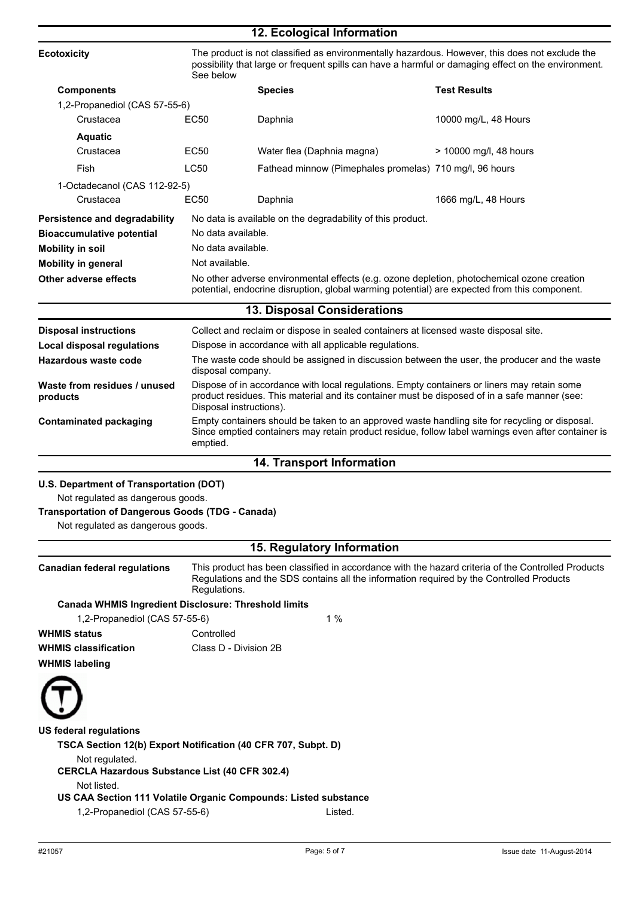|                                          |                    | 12. Ecological Information                                                                                                                                                                                             |                        |
|------------------------------------------|--------------------|------------------------------------------------------------------------------------------------------------------------------------------------------------------------------------------------------------------------|------------------------|
| <b>Ecotoxicity</b>                       | See below          | The product is not classified as environmentally hazardous. However, this does not exclude the<br>possibility that large or frequent spills can have a harmful or damaging effect on the environment.                  |                        |
| <b>Components</b>                        |                    | <b>Species</b>                                                                                                                                                                                                         | <b>Test Results</b>    |
| 1,2-Propanediol (CAS 57-55-6)            |                    |                                                                                                                                                                                                                        |                        |
| Crustacea                                | EC <sub>50</sub>   | Daphnia                                                                                                                                                                                                                | 10000 mg/L, 48 Hours   |
| <b>Aquatic</b>                           |                    |                                                                                                                                                                                                                        |                        |
| Crustacea                                | EC50               | Water flea (Daphnia magna)                                                                                                                                                                                             | > 10000 mg/l, 48 hours |
| Fish                                     | <b>LC50</b>        | Fathead minnow (Pimephales promelas) 710 mg/l, 96 hours                                                                                                                                                                |                        |
| 1-Octadecanol (CAS 112-92-5)             |                    |                                                                                                                                                                                                                        |                        |
| Crustacea                                | <b>EC50</b>        | Daphnia                                                                                                                                                                                                                | 1666 mg/L, 48 Hours    |
| <b>Persistence and degradability</b>     |                    | No data is available on the degradability of this product.                                                                                                                                                             |                        |
| <b>Bioaccumulative potential</b>         |                    | No data available.                                                                                                                                                                                                     |                        |
| <b>Mobility in soil</b>                  | No data available. |                                                                                                                                                                                                                        |                        |
| <b>Mobility in general</b>               |                    | Not available.                                                                                                                                                                                                         |                        |
| <b>Other adverse effects</b>             |                    | No other adverse environmental effects (e.g. ozone depletion, photochemical ozone creation<br>potential, endocrine disruption, global warming potential) are expected from this component.                             |                        |
|                                          |                    | 13. Disposal Considerations                                                                                                                                                                                            |                        |
| <b>Disposal instructions</b>             |                    | Collect and reclaim or dispose in sealed containers at licensed waste disposal site.                                                                                                                                   |                        |
| <b>Local disposal regulations</b>        |                    | Dispose in accordance with all applicable regulations.                                                                                                                                                                 |                        |
| Hazardous waste code                     |                    | The waste code should be assigned in discussion between the user, the producer and the waste<br>disposal company.                                                                                                      |                        |
| Waste from residues / unused<br>products |                    | Dispose of in accordance with local regulations. Empty containers or liners may retain some<br>product residues. This material and its container must be disposed of in a safe manner (see:<br>Disposal instructions). |                        |
| <b>Contaminated packaging</b>            | emptied.           | Empty containers should be taken to an approved waste handling site for recycling or disposal.<br>Since emptied containers may retain product residue, follow label warnings even after container is                   |                        |
|                                          |                    | <b>14. Transport Information</b>                                                                                                                                                                                       |                        |
|                                          |                    |                                                                                                                                                                                                                        |                        |
| U.S. Department of Transportation (DOT)  |                    |                                                                                                                                                                                                                        |                        |

Not regulated as dangerous goods.

### **Transportation of Dangerous Goods (TDG - Canada)**

Not regulated as dangerous goods.

### **15. Regulatory Information**

**Canadian federal regulations** This product has been classified in accordance with the hazard criteria of the Controlled Products Regulations and the SDS contains all the information required by the Controlled Products Regulations.

#### **Canada WHMIS Ingredient Disclosure: Threshold limits**

1,2-Propanediol (CAS 57-55-6) 1 %

**WHMIS status** Controlled **WHMIS classification** Class D - Division 2B **WHMIS labeling**

**US federal regulations TSCA Section 12(b) Export Notification (40 CFR 707, Subpt. D)** Not regulated. **CERCLA Hazardous Substance List (40 CFR 302.4)** Not listed. **US CAA Section 111 Volatile Organic Compounds: Listed substance** 1,2-Propanediol (CAS 57-55-6) Listed.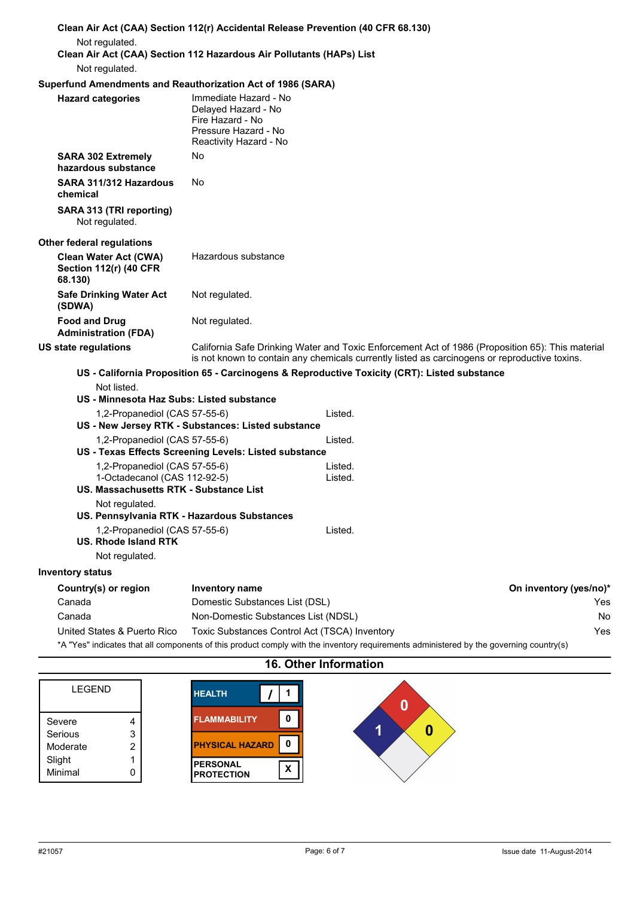|                                                                                                         | Clean Air Act (CAA) Section 112(r) Accidental Release Prevention (40 CFR 68.130)                                                                                                                  |                        |
|---------------------------------------------------------------------------------------------------------|---------------------------------------------------------------------------------------------------------------------------------------------------------------------------------------------------|------------------------|
| Not regulated.                                                                                          |                                                                                                                                                                                                   |                        |
|                                                                                                         | Clean Air Act (CAA) Section 112 Hazardous Air Pollutants (HAPs) List                                                                                                                              |                        |
| Not regulated.                                                                                          |                                                                                                                                                                                                   |                        |
| <b>Hazard categories</b>                                                                                | Superfund Amendments and Reauthorization Act of 1986 (SARA)<br>Immediate Hazard - No<br>Delayed Hazard - No<br>Fire Hazard - No<br>Pressure Hazard - No                                           |                        |
| <b>SARA 302 Extremely</b><br>hazardous substance                                                        | Reactivity Hazard - No<br>No                                                                                                                                                                      |                        |
| SARA 311/312 Hazardous<br>chemical                                                                      | No.                                                                                                                                                                                               |                        |
| SARA 313 (TRI reporting)<br>Not regulated.                                                              |                                                                                                                                                                                                   |                        |
| <b>Other federal regulations</b>                                                                        |                                                                                                                                                                                                   |                        |
| <b>Clean Water Act (CWA)</b><br><b>Section 112(r) (40 CFR</b><br>68.130)                                | Hazardous substance                                                                                                                                                                               |                        |
| <b>Safe Drinking Water Act</b><br>(SDWA)                                                                | Not regulated.                                                                                                                                                                                    |                        |
| <b>Food and Drug</b><br><b>Administration (FDA)</b>                                                     | Not regulated.                                                                                                                                                                                    |                        |
| <b>US state regulations</b>                                                                             | California Safe Drinking Water and Toxic Enforcement Act of 1986 (Proposition 65): This material<br>is not known to contain any chemicals currently listed as carcinogens or reproductive toxins. |                        |
|                                                                                                         | US - California Proposition 65 - Carcinogens & Reproductive Toxicity (CRT): Listed substance                                                                                                      |                        |
| Not listed.                                                                                             |                                                                                                                                                                                                   |                        |
| US - Minnesota Haz Subs: Listed substance                                                               |                                                                                                                                                                                                   |                        |
| 1,2-Propanediol (CAS 57-55-6)                                                                           | Listed.<br>US - New Jersey RTK - Substances: Listed substance                                                                                                                                     |                        |
| 1,2-Propanediol (CAS 57-55-6)                                                                           | Listed.                                                                                                                                                                                           |                        |
|                                                                                                         | US - Texas Effects Screening Levels: Listed substance                                                                                                                                             |                        |
| 1,2-Propanediol (CAS 57-55-6)<br>1-Octadecanol (CAS 112-92-5)<br>US. Massachusetts RTK - Substance List | Listed.<br>Listed.                                                                                                                                                                                |                        |
| Not regulated.                                                                                          |                                                                                                                                                                                                   |                        |
| US. Pennsylvania RTK - Hazardous Substances                                                             |                                                                                                                                                                                                   |                        |
| 1,2-Propanediol (CAS 57-55-6)<br><b>US. Rhode Island RTK</b><br>Not regulated.                          | Listed.                                                                                                                                                                                           |                        |
| <b>Inventory status</b>                                                                                 |                                                                                                                                                                                                   |                        |
| Country(s) or region                                                                                    | <b>Inventory name</b>                                                                                                                                                                             | On inventory (yes/no)* |
| Canada                                                                                                  | Domestic Substances List (DSL)                                                                                                                                                                    | Yes.                   |
| Canada                                                                                                  | Non-Domestic Substances List (NDSL)                                                                                                                                                               | No                     |
| United States & Puerto Rico                                                                             | Toxic Substances Control Act (TSCA) Inventory                                                                                                                                                     | Yes                    |
|                                                                                                         | *A "Yes" indicates that all components of this product comply with the inventory requirements administered by the governing country(s)                                                            |                        |